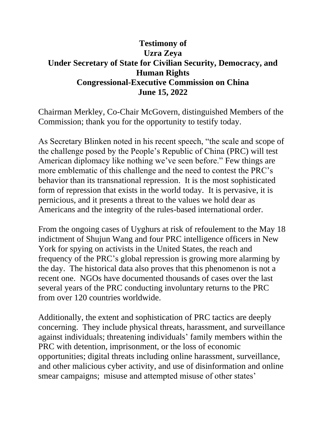## **Testimony of Uzra Zeya Under Secretary of State for Civilian Security, Democracy, and Human Rights Congressional-Executive Commission on China June 15, 2022**

Chairman Merkley, Co-Chair McGovern, distinguished Members of the Commission; thank you for the opportunity to testify today.

As Secretary Blinken noted in his recent speech, "the scale and scope of the challenge posed by the People's Republic of China (PRC) will test American diplomacy like nothing we've seen before." Few things are more emblematic of this challenge and the need to contest the PRC's behavior than its transnational repression. It is the most sophisticated form of repression that exists in the world today. It is pervasive, it is pernicious, and it presents a threat to the values we hold dear as Americans and the integrity of the rules-based international order.

From the ongoing cases of Uyghurs at risk of refoulement to the May 18 indictment of Shujun Wang and four PRC intelligence officers in New York for spying on activists in the United States, the reach and frequency of the PRC's global repression is growing more alarming by the day. The historical data also proves that this phenomenon is not a recent one. NGOs have documented thousands of cases over the last several years of the PRC conducting involuntary returns to the PRC from over 120 countries worldwide.

Additionally, the extent and sophistication of PRC tactics are deeply concerning. They include physical threats, harassment, and surveillance against individuals; threatening individuals' family members within the PRC with detention, imprisonment, or the loss of economic opportunities; digital threats including online harassment, surveillance, and other malicious cyber activity, and use of disinformation and online smear campaigns; misuse and attempted misuse of other states'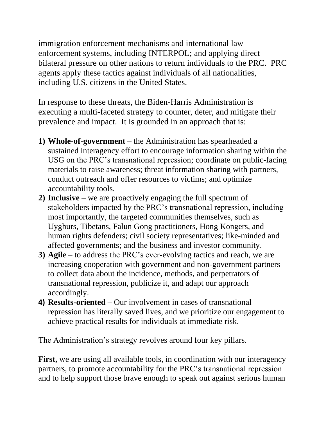immigration enforcement mechanisms and international law enforcement systems, including INTERPOL; and applying direct bilateral pressure on other nations to return individuals to the PRC. PRC agents apply these tactics against individuals of all nationalities, including U.S. citizens in the United States.

In response to these threats, the Biden-Harris Administration is executing a multi-faceted strategy to counter, deter, and mitigate their prevalence and impact. It is grounded in an approach that is:

- **1) Whole-of-government** the Administration has spearheaded a sustained interagency effort to encourage information sharing within the USG on the PRC's transnational repression; coordinate on public-facing materials to raise awareness; threat information sharing with partners, conduct outreach and offer resources to victims; and optimize accountability tools.
- **2) Inclusive** we are proactively engaging the full spectrum of stakeholders impacted by the PRC's transnational repression, including most importantly, the targeted communities themselves, such as Uyghurs, Tibetans, Falun Gong practitioners, Hong Kongers, and human rights defenders; civil society representatives; like-minded and affected governments; and the business and investor community.
- **3) Agile** to address the PRC's ever-evolving tactics and reach, we are increasing cooperation with government and non-government partners to collect data about the incidence, methods, and perpetrators of transnational repression, publicize it, and adapt our approach accordingly.
- **4) Results-oriented** Our involvement in cases of transnational repression has literally saved lives, and we prioritize our engagement to achieve practical results for individuals at immediate risk.

The Administration's strategy revolves around four key pillars.

**First,** we are using all available tools, in coordination with our interagency partners, to promote accountability for the PRC's transnational repression and to help support those brave enough to speak out against serious human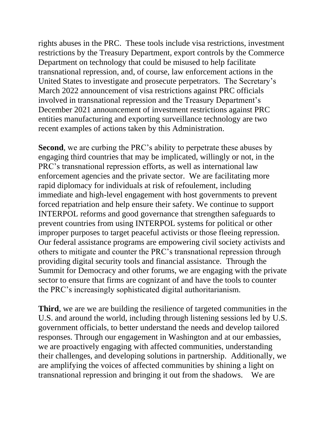rights abuses in the PRC. These tools include visa restrictions, investment restrictions by the Treasury Department, export controls by the Commerce Department on technology that could be misused to help facilitate transnational repression, and, of course, law enforcement actions in the United States to investigate and prosecute perpetrators. The Secretary's March 2022 announcement of visa restrictions against PRC officials involved in transnational repression and the Treasury Department's December 2021 announcement of investment restrictions against PRC entities manufacturing and exporting surveillance technology are two recent examples of actions taken by this Administration.

**Second**, we are curbing the PRC's ability to perpetrate these abuses by engaging third countries that may be implicated, willingly or not, in the PRC's transnational repression efforts, as well as international law enforcement agencies and the private sector. We are facilitating more rapid diplomacy for individuals at risk of refoulement, including immediate and high-level engagement with host governments to prevent forced repatriation and help ensure their safety. We continue to support INTERPOL reforms and good governance that strengthen safeguards to prevent countries from using INTERPOL systems for political or other improper purposes to target peaceful activists or those fleeing repression. Our federal assistance programs are empowering civil society activists and others to mitigate and counter the PRC's transnational repression through providing digital security tools and financial assistance. Through the Summit for Democracy and other forums, we are engaging with the private sector to ensure that firms are cognizant of and have the tools to counter the PRC's increasingly sophisticated digital authoritarianism.

**Third**, we are we are building the resilience of targeted communities in the U.S. and around the world, including through listening sessions led by U.S. government officials, to better understand the needs and develop tailored responses. Through our engagement in Washington and at our embassies, we are proactively engaging with affected communities, understanding their challenges, and developing solutions in partnership. Additionally, we are amplifying the voices of affected communities by shining a light on transnational repression and bringing it out from the shadows. We are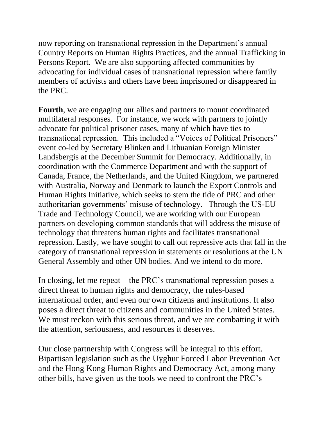now reporting on transnational repression in the Department's annual Country Reports on Human Rights Practices, and the annual Trafficking in Persons Report. We are also supporting affected communities by advocating for individual cases of transnational repression where family members of activists and others have been imprisoned or disappeared in the PRC.

**Fourth**, we are engaging our allies and partners to mount coordinated multilateral responses. For instance, we work with partners to jointly advocate for political prisoner cases, many of which have ties to transnational repression. This included a "Voices of Political Prisoners" event co-led by Secretary Blinken and Lithuanian Foreign Minister Landsbergis at the December Summit for Democracy. Additionally, in coordination with the Commerce Department and with the support of Canada, France, the Netherlands, and the United Kingdom, we partnered with Australia, Norway and Denmark to launch the Export Controls and Human Rights Initiative, which seeks to stem the tide of PRC and other authoritarian governments' misuse of technology. Through the US-EU Trade and Technology Council, we are working with our European partners on developing common standards that will address the misuse of technology that threatens human rights and facilitates transnational repression. Lastly, we have sought to call out repressive acts that fall in the category of transnational repression in statements or resolutions at the UN General Assembly and other UN bodies. And we intend to do more.

In closing, let me repeat – the PRC's transnational repression poses a direct threat to human rights and democracy, the rules-based international order, and even our own citizens and institutions. It also poses a direct threat to citizens and communities in the United States. We must reckon with this serious threat, and we are combatting it with the attention, seriousness, and resources it deserves.

Our close partnership with Congress will be integral to this effort. Bipartisan legislation such as the Uyghur Forced Labor Prevention Act and the Hong Kong Human Rights and Democracy Act, among many other bills, have given us the tools we need to confront the PRC's